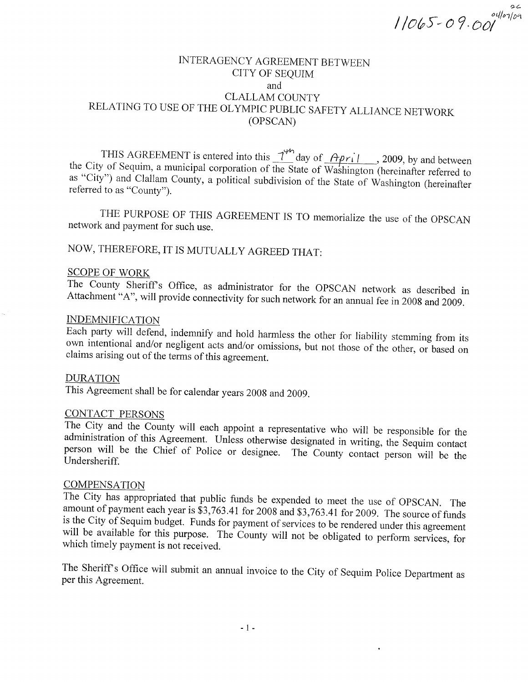$11065 - 09.001$ 

# INTERAGENCY AGREEMENT BETWEEN CITY OF SEQUIM and **CLALLAM COUNTY** RELATING TO USE OF THE OLYMPIC PUBLIC SAFETY ALLIANCE NETWORK (OPSCAN)

THIS AGREEMENT is entered into this  $\frac{\gamma}{\gamma}$  day of April , 2009, by and between the City of Sequim, a municipal corporation of the State of Washington (hereinafter referred to as "City") and Clallam County, a political subdivision of the State of Washington (hereinafter referred to as "County").

THE PURPOSE OF THIS AGREEMENT IS TO memorialize the use of the OPSCAN network and payment for such use.

# NOW, THEREFORE, IT IS MUTUALLY AGREED THAT:

### **SCOPE OF WORK**

The County Sheriff's Office, as administrator for the OPSCAN network as described in Attachment "A", will provide connectivity for such network for an annual fee in 2008 and 2009.

## **INDEMNIFICATION**

Each party will defend, indemnify and hold harmless the other for liability stemming from its own intentional and/or negligent acts and/or omissions, but not those of the other, or based on claims arising out of the terms of this agreement.

#### **DURATION**

This Agreement shall be for calendar years 2008 and 2009.

### **CONTACT PERSONS**

The City and the County will each appoint a representative who will be responsible for the administration of this Agreement. Unless otherwise designated in writing, the Sequim contact person will be the Chief of Police or designee. The County contact person will be the Undersheriff.

### **COMPENSATION**

The City has appropriated that public funds be expended to meet the use of OPSCAN. The amount of payment each year is \$3,763.41 for 2008 and \$3,763.41 for 2009. The source of funds is the City of Sequim budget. Funds for payment of services to be rendered under this agreement will be available for this purpose. The County will not be obligated to perform services, for which timely payment is not received.

The Sheriff's Office will submit an annual invoice to the City of Sequim Police Department as per this Agreement.

 $\ddot{\phantom{a}}$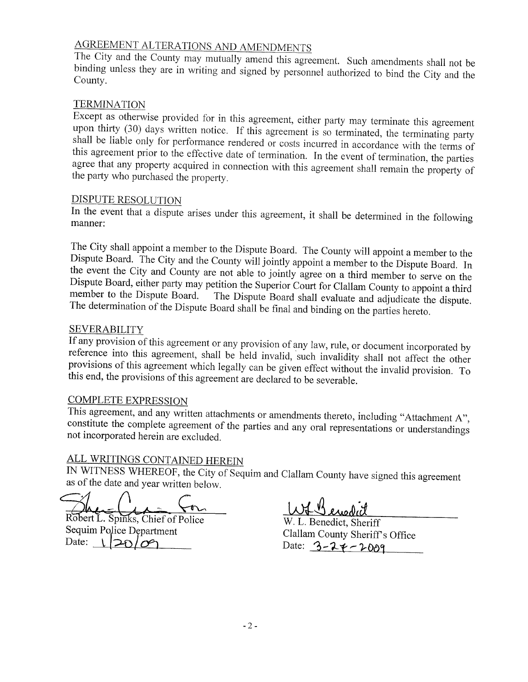# <u>ALTERATIONS AND AMENDMEN</u>

The City and the County may mutually amend this agreement. Such amendments shall not be binding unless they are in writing and signed by personnel authorized to bind the City and the County.

## **TERMINATION**

Except as otherwise provided for in this agreement, either party may terminate this agreement upon thirty (30) days written notice. If this agreement is so terminated, the terminating party shall be liable only for performance rendered or costs incurred in accordance with the terms of this agreement prior to the effective date of termination. In the event of termination, the parties agree that any property acquired in connection with this agreement shall remain the property of the party who purchased the property.

# DISPUTE RESOLUTION

In the event that a dispute arises under this agreement, it shall be determined in the following manner:

The City shall appoint a member to the Dispute Board. The County will appoint a member to the Dispute Board. The City and the County will jointly appoint a member to the Dispute Board. In the event the City and County are

SEVERABILITY<br>If any provision of this agreement or any provision of any law, rule, or document incorporated by reference into this agreement, shall be held invalid, such invalidity shall not affect the other provisions of this agreement which legally can be given effect without the invalid provision. To this end, the provisions of

COMPLETE EXPRESSION<br>This agreement, and any written attachments or amendments thereto, including "Attachment A", constitute the complete agreement of the parties and any oral representations or understandings not incorporated herein are excluded.

ALL WRITINGS CONTAINED HEREIN<br>IN WITNESS WHEREOF, the City of Sequim and Clallam County have signed this agreement as of the date and year written below.

Robert L. Spinks, Chief of Police<br>Sequim Police Department Date:

W. L. Benedict, Sheriff Clallam County Sheriff's Office Date: 3-27-2009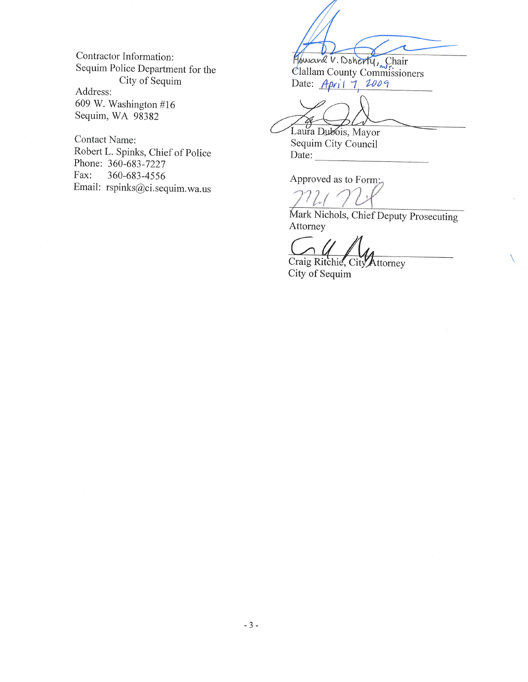Contractor Information: Sequim Police Department for the City of Sequim Address: 609 W. Washington #16 Sequim, WA 98382

**Contact Name:** Robert L. Spinks, Chief of Police Phone: 360-683-7227 360-683-4556 Fax: Email: rspinks@ci.sequim.wa.us Howard V. Doherty, Chair Date: April 7, 2009

Laura Dubois, Mayor

Sequim City Council Date:

Approved as to Form;

ابدل

Mark Nichols, Chief Deputy Prosecuting Attorney

 $\setminus$ 

Craig Ritchie, City Attorney City of Sequim